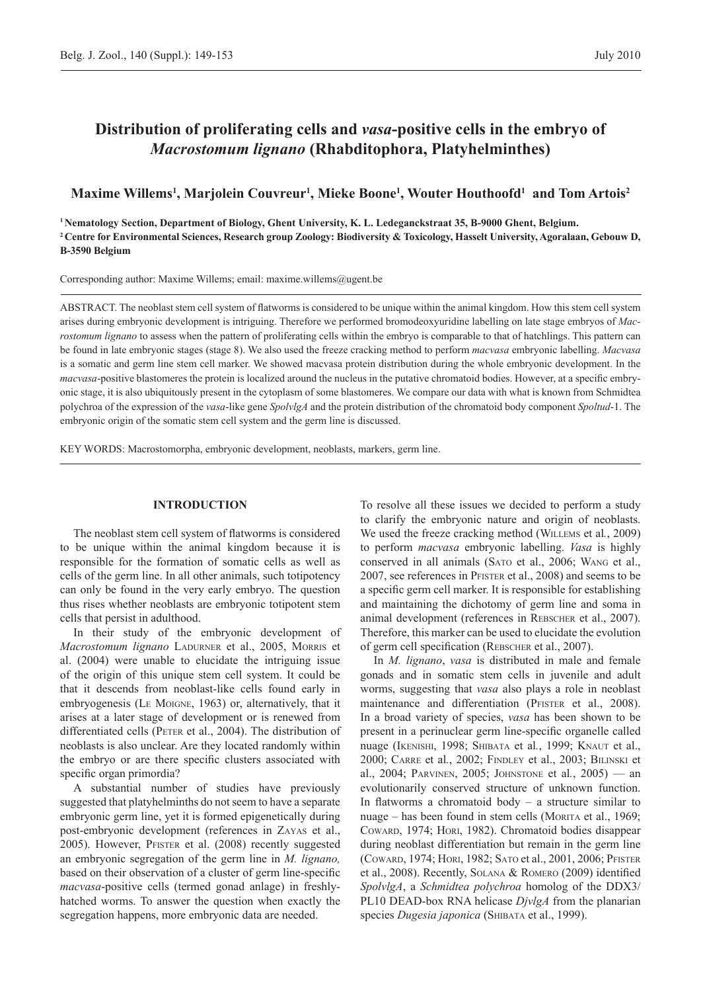# **Distribution of proliferating cells and** *vasa***-positive cells in the embryo of**  *Macrostomum lignano* **(Rhabditophora, Platyhelminthes)**

# **Maxime Willems1 , Marjolein Couvreur1 , Mieke Boone1 , Wouter Houthoofd1 and Tom Artois2**

**1 Nematology Section, Department of Biology, Ghent University, K. L. Ledeganckstraat 35, B-9000 Ghent, Belgium. 2 Centre for Environmental Sciences, Research group Zoology: Biodiversity & Toxicology, Hasselt University, Agoralaan, Gebouw D, B-3590 Belgium**

Corresponding author: Maxime Willems; email: maxime.willems@ugent.be

ABSTRACT. The neoblast stem cell system of flatworms is considered to be unique within the animal kingdom. How this stem cell system arises during embryonic development is intriguing. Therefore we performed bromodeoxyuridine labelling on late stage embryos of *Macrostomum lignano* to assess when the pattern of proliferating cells within the embryo is comparable to that of hatchlings. This pattern can be found in late embryonic stages (stage 8). We also used the freeze cracking method to perform *macvasa* embryonic labelling. *Macvasa*  is a somatic and germ line stem cell marker. We showed macvasa protein distribution during the whole embryonic development. In the *macvasa*-positive blastomeres the protein is localized around the nucleus in the putative chromatoid bodies. However, at a specific embryonic stage, it is also ubiquitously present in the cytoplasm of some blastomeres. We compare our data with what is known from Schmidtea polychroa of the expression of the *vasa*-like gene *SpolvlgA* and the protein distribution of the chromatoid body component *Spoltud*-1. The embryonic origin of the somatic stem cell system and the germ line is discussed.

KEY WORDS: Macrostomorpha, embryonic development, neoblasts, markers, germ line.

### **INTRODUCTION**

The neoblast stem cell system of flatworms is considered to be unique within the animal kingdom because it is responsible for the formation of somatic cells as well as cells of the germ line. In all other animals, such totipotency can only be found in the very early embryo. The question thus rises whether neoblasts are embryonic totipotent stem cells that persist in adulthood.

In their study of the embryonic development of *Macrostomum lignano* Ladurner et al., 2005, Morris et al. (2004) were unable to elucidate the intriguing issue of the origin of this unique stem cell system. It could be that it descends from neoblast-like cells found early in embryogenesis (Le Moigne, 1963) or, alternatively, that it arises at a later stage of development or is renewed from differentiated cells (PETER et al., 2004). The distribution of neoblasts is also unclear. Are they located randomly within the embryo or are there specific clusters associated with specific organ primordia?

A substantial number of studies have previously suggested that platyhelminths do not seem to have a separate embryonic germ line, yet it is formed epigenetically during post-embryonic development (references in Zayas et al., 2005). However, Pfister et al. (2008) recently suggested an embryonic segregation of the germ line in *M. lignano,*  based on their observation of a cluster of germ line-specific *macvasa*-positive cells (termed gonad anlage) in freshlyhatched worms. To answer the question when exactly the segregation happens, more embryonic data are needed.

To resolve all these issues we decided to perform a study to clarify the embryonic nature and origin of neoblasts. We used the freeze cracking method (Willems et al*.*, 2009) to perform *macvasa* embryonic labelling. *Vasa* is highly conserved in all animals (Sato et al., 2006; Wang et al., 2007, see references in Pfister et al., 2008) and seems to be a specific germ cell marker. It is responsible for establishing and maintaining the dichotomy of germ line and soma in animal development (references in Rebscher et al., 2007). Therefore, this marker can be used to elucidate the evolution of germ cell specification (Rebscher et al., 2007).

In *M. lignano*, *vasa* is distributed in male and female gonads and in somatic stem cells in juvenile and adult worms, suggesting that *vasa* also plays a role in neoblast maintenance and differentiation (PFISTER et al., 2008). In a broad variety of species, *vasa* has been shown to be present in a perinuclear germ line-specific organelle called nuage (Ikenishi, 1998; Shibata et al*.*, 1999; Knaut et al., 2000; Carre et al*.*, 2002; Findley et al., 2003; Bilinski et al., 2004; Parvinen, 2005; Johnstone et al*.*, 2005) — an evolutionarily conserved structure of unknown function. In flatworms a chromatoid body  $-$  a structure similar to nuage – has been found in stem cells (MORITA et al., 1969; Coward, 1974; Hori, 1982). Chromatoid bodies disappear during neoblast differentiation but remain in the germ line (Coward, 1974; Hori, 1982; Sato et al., 2001, 2006; Pfister et al., 2008). Recently, Solana & Romero (2009) identified *SpolvlgA*, a *Schmidtea polychroa* homolog of the DDX3/ PL10 DEAD-box RNA helicase *DjvlgA* from the planarian species *Dugesia japonica* (SHIBATA et al., 1999).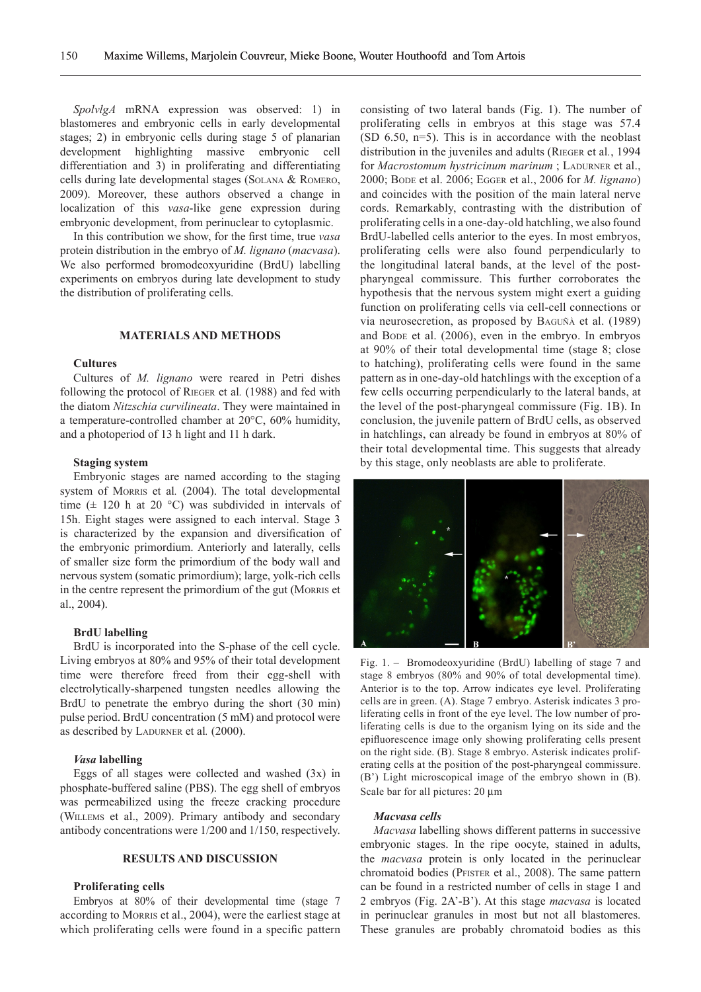*SpolvlgA* mRNA expression was observed: 1) in blastomeres and embryonic cells in early developmental stages; 2) in embryonic cells during stage 5 of planarian development highlighting massive embryonic cell differentiation and 3) in proliferating and differentiating cells during late developmental stages (Solana & Romero, 2009). Moreover, these authors observed a change in localization of this *vasa*-like gene expression during embryonic development, from perinuclear to cytoplasmic.

In this contribution we show, for the first time, true *vasa*  protein distribution in the embryo of *M. lignano* (*macvasa*). We also performed bromodeoxyuridine (BrdU) labelling experiments on embryos during late development to study the distribution of proliferating cells.

## **MATERIALS AND METHODS**

#### **Cultures**

Cultures of *M. lignano* were reared in Petri dishes following the protocol of Rieger et al*.* (1988) and fed with the diatom *Nitzschia curvilineata*. They were maintained in a temperature-controlled chamber at 20°C, 60% humidity, and a photoperiod of 13 h light and 11 h dark.

#### **Staging system**

Embryonic stages are named according to the staging system of Morris et al*.* (2004). The total developmental time  $(\pm 120 \text{ h at } 20 \text{ °C})$  was subdivided in intervals of 15h. Eight stages were assigned to each interval. Stage 3 is characterized by the expansion and diversification of the embryonic primordium. Anteriorly and laterally, cells of smaller size form the primordium of the body wall and nervous system (somatic primordium); large, yolk-rich cells in the centre represent the primordium of the gut (Morris et al., 2004).

#### **BrdU labelling**

BrdU is incorporated into the S-phase of the cell cycle. Living embryos at 80% and 95% of their total development time were therefore freed from their egg-shell with electrolytically-sharpened tungsten needles allowing the BrdU to penetrate the embryo during the short (30 min) pulse period. BrdU concentration (5 mM) and protocol were as described by LADURNER et al.  $(2000)$ .

#### *Vasa* **labelling**

Eggs of all stages were collected and washed  $(3x)$  in phosphate-buffered saline (PBS). The egg shell of embryos was permeabilized using the freeze cracking procedure (Willems et al., 2009). Primary antibody and secondary antibody concentrations were 1/200 and 1/150, respectively.

# **RESULTS AND DISCUSSION**

#### **Proliferating cells**

Embryos at 80% of their developmental time (stage 7 according to Morris et al., 2004), were the earliest stage at which proliferating cells were found in a specific pattern consisting of two lateral bands (Fig. 1). The number of proliferating cells in embryos at this stage was 57.4 (SD 6.50, n=5). This is in accordance with the neoblast distribution in the juveniles and adults (Rieger et al*.*, 1994 for *Macrostomum hystricinum marinum*; LADURNER et al., 2000; Bode et al. 2006; Egger et al., 2006 for *M. lignano*) and coincides with the position of the main lateral nerve cords. Remarkably, contrasting with the distribution of proliferating cells in a one-day-old hatchling, we also found BrdU-labelled cells anterior to the eyes. In most embryos, proliferating cells were also found perpendicularly to the longitudinal lateral bands, at the level of the postpharyngeal commissure. This further corroborates the hypothesis that the nervous system might exert a guiding function on proliferating cells via cell-cell connections or via neurosecretion, as proposed by Baguñà et al. (1989) and Bode et al. (2006), even in the embryo. In embryos at 90% of their total developmental time (stage 8; close to hatching), proliferating cells were found in the same pattern as in one-day-old hatchlings with the exception of a few cells occurring perpendicularly to the lateral bands, at the level of the post-pharyngeal commissure (Fig. 1B). In conclusion, the juvenile pattern of BrdU cells, as observed in hatchlings, can already be found in embryos at 80% of their total developmental time. This suggests that already by this stage, only neoblasts are able to proliferate.



Fig. 1. – Bromodeoxyuridine (BrdU) labelling of stage 7 and stage 8 embryos (80% and 90% of total developmental time). Anterior is to the top. Arrow indicates eye level. Proliferating cells are in green. (A). Stage 7 embryo. Asterisk indicates 3 proliferating cells in front of the eye level. The low number of proliferating cells is due to the organism lying on its side and the epifluorescence image only showing proliferating cells present on the right side. (B). Stage 8 embryo. Asterisk indicates proliferating cells at the position of the post-pharyngeal commissure. (B') Light microscopical image of the embryo shown in (B). Scale bar for all pictures: 20  $\mu$ m

#### *Macvasa cells*

*Macvasa* labelling shows different patterns in successive embryonic stages. In the ripe oocyte, stained in adults, the *macvasa* protein is only located in the perinuclear chromatoid bodies (Pfister et al., 2008). The same pattern can be found in a restricted number of cells in stage 1 and 2 embryos (Fig. 2A'-B'). At this stage *macvasa* is located in perinuclear granules in most but not all blastomeres. These granules are probably chromatoid bodies as this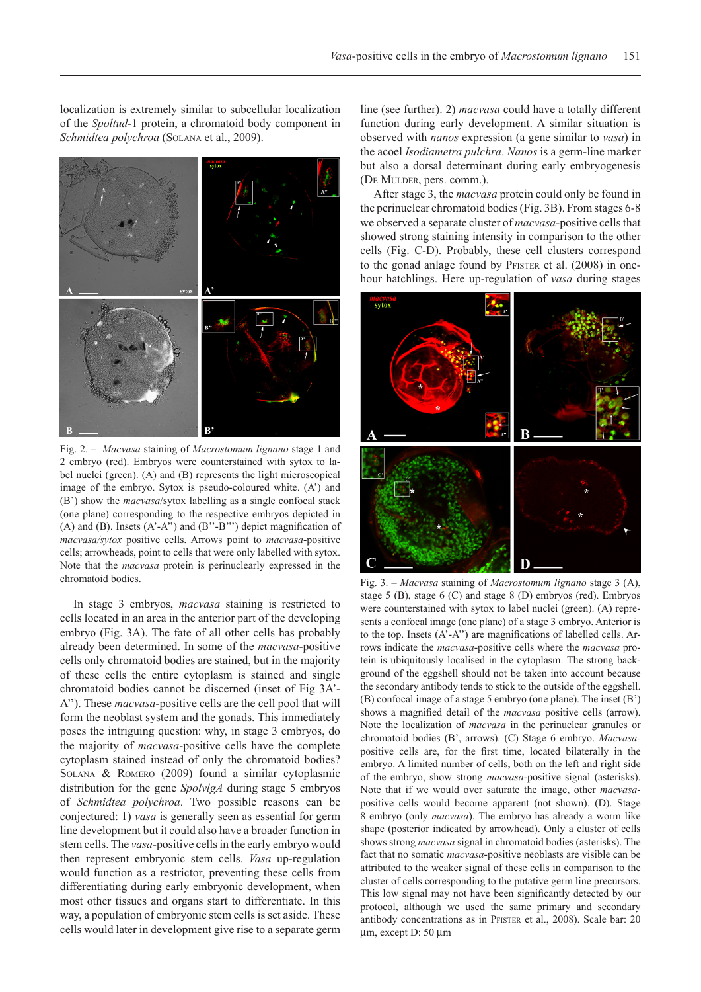Fig. 2. – *Macvasa* staining of *Macrostomum lignano* stage 1 and 2 embryo (red). Embryos were counterstained with sytox to label nuclei (green). (A) and (B) represents the light microscopical image of the embryo. Sytox is pseudo-coloured white. (A') and (B') show the *macvasa*/sytox labelling as a single confocal stack (one plane) corresponding to the respective embryos depicted in (A) and (B). Insets  $(A<sup>2</sup>-A<sup>2</sup>)$  and  $(B<sup>2</sup>-B<sup>2</sup>)$  depict magnification of *macvasa/sytox* positive cells. Arrows point to *macvasa*-positive cells; arrowheads, point to cells that were only labelled with sytox. Note that the *macvasa* protein is perinuclearly expressed in the chromatoid bodies. Fig. 3. – *Macvasa* staining of *Macrostomum lignano* stage 3 (A),

In stage 3 embryos, *macvasa* staining is restricted to cells located in an area in the anterior part of the developing embryo (Fig. 3A). The fate of all other cells has probably already been determined. In some of the *macvasa-*positive cells only chromatoid bodies are stained, but in the majority of these cells the entire cytoplasm is stained and single chromatoid bodies cannot be discerned (inset of Fig 3A'- A''). These *macvasa-*positive cells are the cell pool that will form the neoblast system and the gonads. This immediately poses the intriguing question: why, in stage 3 embryos, do the majority of *macvasa*-positive cells have the complete cytoplasm stained instead of only the chromatoid bodies? Solana & Romero (2009) found a similar cytoplasmic distribution for the gene *SpolvlgA* during stage 5 embryos of *Schmidtea polychroa*. Two possible reasons can be conjectured: 1) *vasa* is generally seen as essential for germ line development but it could also have a broader function in stem cells. The *vasa*-positive cells in the early embryo would then represent embryonic stem cells. *Vasa* up-regulation would function as a restrictor, preventing these cells from differentiating during early embryonic development, when most other tissues and organs start to differentiate. In this way, a population of embryonic stem cells is set aside. These cells would later in development give rise to a separate germ line (see further). 2) *macvasa* could have a totally different function during early development. A similar situation is observed with *nanos* expression (a gene similar to *vasa*) in the acoel *Isodiametra pulchra*. *Nanos* is a germ-line marker but also a dorsal determinant during early embryogenesis (De Mulder, pers. comm.).

After stage 3, the *macvasa* protein could only be found in the perinuclear chromatoid bodies (Fig. 3B). From stages 6-8 we observed a separate cluster of *macvasa-*positive cells that showed strong staining intensity in comparison to the other cells (Fig. C-D). Probably, these cell clusters correspond to the gonad anlage found by PFISTER et al. (2008) in onehour hatchlings. Here up-regulation of *vasa* during stages



stage 5 (B), stage 6 (C) and stage 8 (D) embryos (red). Embryos were counterstained with sytox to label nuclei (green). (A) represents a confocal image (one plane) of a stage 3 embryo. Anterior is to the top. Insets (A'-A'') are magnifications of labelled cells. Arrows indicate the *macvasa*-positive cells where the *macvasa* protein is ubiquitously localised in the cytoplasm. The strong background of the eggshell should not be taken into account because the secondary antibody tends to stick to the outside of the eggshell. (B) confocal image of a stage 5 embryo (one plane). The inset (B') shows a magnified detail of the *macvasa* positive cells (arrow). Note the localization of *macvasa* in the perinuclear granules or chromatoid bodies (B', arrows). (C) Stage 6 embryo. *Macvasa*positive cells are, for the first time, located bilaterally in the embryo. A limited number of cells, both on the left and right side of the embryo, show strong *macvasa*-positive signal (asterisks). Note that if we would over saturate the image, other *macvasa*positive cells would become apparent (not shown). (D). Stage 8 embryo (only *macvasa*). The embryo has already a worm like shape (posterior indicated by arrowhead). Only a cluster of cells shows strong *macvasa* signal in chromatoid bodies (asterisks). The fact that no somatic *macvasa*-positive neoblasts are visible can be attributed to the weaker signal of these cells in comparison to the cluster of cells corresponding to the putative germ line precursors. This low signal may not have been significantly detected by our protocol, although we used the same primary and secondary antibody concentrations as in PFISTER et al., 2008). Scale bar: 20 µm, except D: 50 µm

localization is extremely similar to subcellular localization of the *Spoltud-*1 protein, a chromatoid body component in *Schmidtea polychroa* (Solana et al., 2009).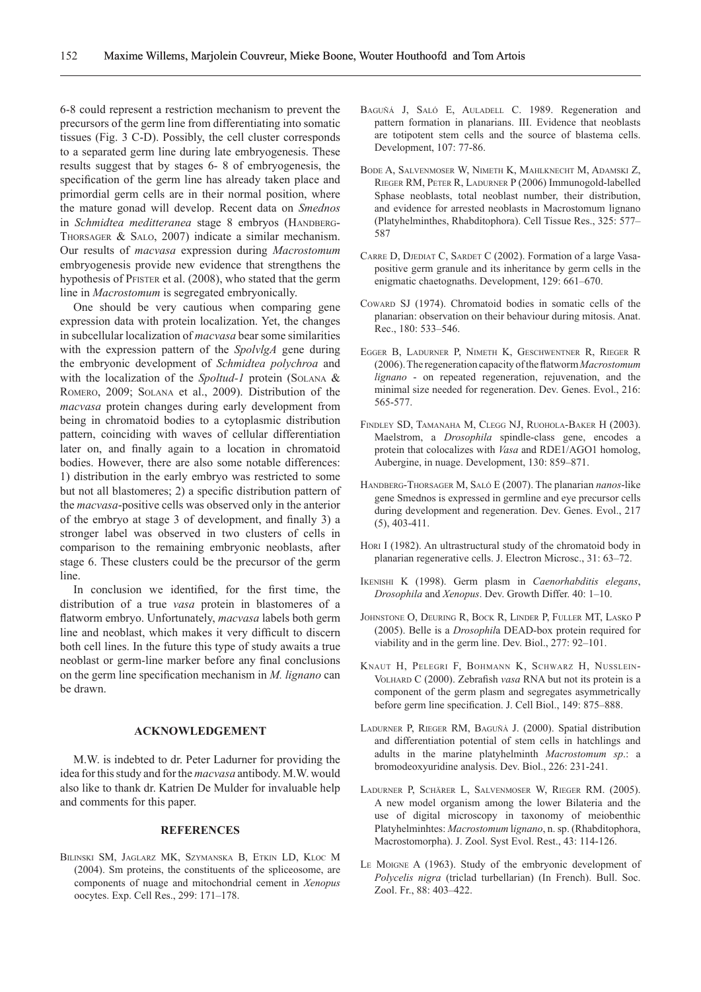6-8 could represent a restriction mechanism to prevent the precursors of the germ line from differentiating into somatic tissues (Fig. 3 C-D). Possibly, the cell cluster corresponds to a separated germ line during late embryogenesis. These results suggest that by stages 6- 8 of embryogenesis, the specification of the germ line has already taken place and primordial germ cells are in their normal position, where the mature gonad will develop. Recent data on *Smednos*  in Schmidtea meditteranea stage 8 embryos (HANDBERG-Thorsager & Salo, 2007) indicate a similar mechanism. Our results of *macvasa* expression during *Macrostomum* embryogenesis provide new evidence that strengthens the hypothesis of PFISTER et al. (2008), who stated that the germ line in *Macrostomum* is segregated embryonically.

One should be very cautious when comparing gene expression data with protein localization. Yet, the changes in subcellular localization of *macvasa* bear some similarities with the expression pattern of the *SpolvlgA* gene during the embryonic development of *Schmidtea polychroa* and with the localization of the *Spoltud-1* protein (SOLANA & Romero, 2009; Solana et al., 2009). Distribution of the *macvasa* protein changes during early development from being in chromatoid bodies to a cytoplasmic distribution pattern, coinciding with waves of cellular differentiation later on, and finally again to a location in chromatoid bodies. However, there are also some notable differences: 1) distribution in the early embryo was restricted to some but not all blastomeres; 2) a specific distribution pattern of the *macvasa*-positive cells was observed only in the anterior of the embryo at stage 3 of development, and finally 3) a stronger label was observed in two clusters of cells in comparison to the remaining embryonic neoblasts, after stage 6. These clusters could be the precursor of the germ line.

In conclusion we identified, for the first time, the distribution of a true *vasa* protein in blastomeres of a flatworm embryo. Unfortunately, *macvasa* labels both germ line and neoblast, which makes it very difficult to discern both cell lines. In the future this type of study awaits a true neoblast or germ-line marker before any final conclusions on the germ line specification mechanism in *M. lignano* can be drawn.

# **ACKNOWLEDGEMENT**

M.W. is indebted to dr. Peter Ladurner for providing the idea for this study and for the *macvasa* antibody. M.W. would also like to thank dr. Katrien De Mulder for invaluable help and comments for this paper.

# **REFERENCES**

Bilinski SM, Jaglarz MK, Szymanska B, Etkin LD, Kloc M (2004). Sm proteins, the constituents of the spliceosome, are components of nuage and mitochondrial cement in *Xenopus* oocytes. Exp. Cell Res., 299: 171–178.

- BAGUÑÁ J, SALÓ E, AULADELL C. 1989. Regeneration and pattern formation in planarians. III. Evidence that neoblasts are totipotent stem cells and the source of blastema cells. Development, 107: 77-86.
- Bode A, Salvenmoser W, Nimeth K, Mahlknecht M, Adamski Z, Rieger RM, Peter R, Ladurner P (2006) Immunogold-labelled Sphase neoblasts, total neoblast number, their distribution, and evidence for arrested neoblasts in Macrostomum lignano (Platyhelminthes, Rhabditophora). Cell Tissue Res., 325: 577– 587
- CARRE D, DJEDIAT C, SARDET C (2002). Formation of a large Vasapositive germ granule and its inheritance by germ cells in the enigmatic chaetognaths. Development, 129: 661–670.
- Coward SJ (1974). Chromatoid bodies in somatic cells of the planarian: observation on their behaviour during mitosis. Anat. Rec., 180: 533–546.
- Egger B, Ladurner P, Nimeth K, Geschwentner R, Rieger R (2006). The regeneration capacity of the flatworm *Macrostomum lignano* - on repeated regeneration, rejuvenation, and the minimal size needed for regeneration. Dev. Genes. Evol., 216: 565-577.
- Findley SD, Tamanaha M, Clegg NJ, Ruohola-Baker H (2003). Maelstrom, a *Drosophila* spindle-class gene, encodes a protein that colocalizes with *Vasa* and RDE1/AGO1 homolog, Aubergine, in nuage. Development, 130: 859–871.
- Handberg-Thorsager M, Saló E (2007). The planarian *nanos*-like gene Smednos is expressed in germline and eye precursor cells during development and regeneration. Dev. Genes. Evol., 217 (5), 403-411.
- HORI I (1982). An ultrastructural study of the chromatoid body in planarian regenerative cells. J. Electron Microsc., 31: 63–72.
- Ikenishi K (1998). Germ plasm in *Caenorhabditis elegans*, *Drosophila* and *Xenopus*. Dev. Growth Differ. 40: 1–10.
- Johnstone O, Deuring R, Bock R, Linder P, Fuller MT, Lasko P (2005). Belle is a *Drosophil*a DEAD-box protein required for viability and in the germ line. Dev. Biol., 277: 92–101.
- Knaut H, Pelegri F, Bohmann K, Schwarz H, Nusslein-VOLHARD C (2000). Zebrafish *vasa* RNA but not its protein is a component of the germ plasm and segregates asymmetrically before germ line specification. J. Cell Biol., 149: 875–888.
- Ladurner P, Rieger RM, Baguñà J. (2000). Spatial distribution and differentiation potential of stem cells in hatchlings and adults in the marine platyhelminth *Macrostomum sp*.: a bromodeoxyuridine analysis. Dev. Biol., 226: 231-241.
- Ladurner P, Schärer L, Salvenmoser W, Rieger RM. (2005). A new model organism among the lower Bilateria and the use of digital microscopy in taxonomy of meiobenthic Platyhelminhtes: *Macrostomum* l*ignano*, n. sp. (Rhabditophora, Macrostomorpha). J. Zool. Syst Evol. Rest., 43: 114-126.
- Le Moigne A (1963). Study of the embryonic development of *Polycelis nigra* (triclad turbellarian) (In French). Bull. Soc. Zool. Fr., 88: 403–422.